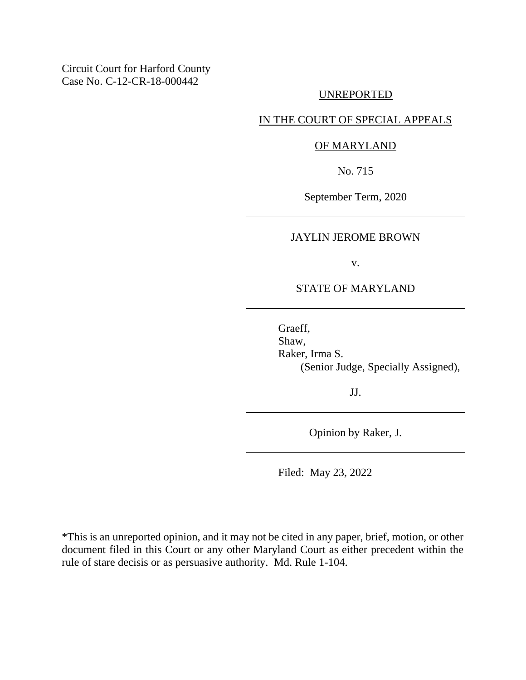Circuit Court for Harford County Case No. C-12-CR-18-000442

### UNREPORTED

# IN THE COURT OF SPECIAL APPEALS

#### OF MARYLAND

No. 715

September Term, 2020

## JAYLIN JEROME BROWN

v.

### STATE OF MARYLAND

Graeff, Shaw, Raker, Irma S. (Senior Judge, Specially Assigned),

JJ.

Opinion by Raker, J.

Filed: May 23, 2022

\*This is an unreported opinion, and it may not be cited in any paper, brief, motion, or other document filed in this Court or any other Maryland Court as either precedent within the rule of stare decisis or as persuasive authority. Md. Rule 1-104.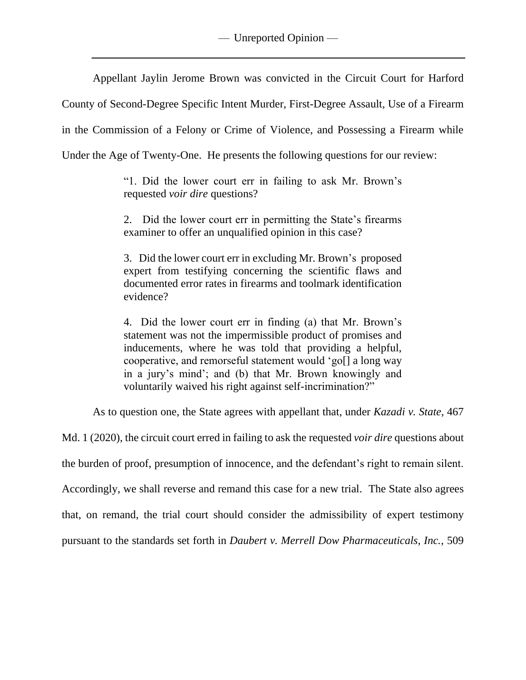Appellant Jaylin Jerome Brown was convicted in the Circuit Court for Harford

County of Second-Degree Specific Intent Murder, First-Degree Assault, Use of a Firearm

in the Commission of a Felony or Crime of Violence, and Possessing a Firearm while

Under the Age of Twenty-One. He presents the following questions for our review:

"1. Did the lower court err in failing to ask Mr. Brown's requested *voir dire* questions?

2. Did the lower court err in permitting the State's firearms examiner to offer an unqualified opinion in this case?

3. Did the lower court err in excluding Mr. Brown's proposed expert from testifying concerning the scientific flaws and documented error rates in firearms and toolmark identification evidence?

4. Did the lower court err in finding (a) that Mr. Brown's statement was not the impermissible product of promises and inducements, where he was told that providing a helpful, cooperative, and remorseful statement would 'go[] a long way in a jury's mind'; and (b) that Mr. Brown knowingly and voluntarily waived his right against self-incrimination?"

As to question one, the State agrees with appellant that, under *Kazadi v. State*, 467

Md. 1 (2020), the circuit court erred in failing to ask the requested *voir dire* questions about the burden of proof, presumption of innocence, and the defendant's right to remain silent. Accordingly, we shall reverse and remand this case for a new trial. The State also agrees that, on remand, the trial court should consider the admissibility of expert testimony pursuant to the standards set forth in *Daubert v. Merrell Dow Pharmaceuticals, Inc.*, 509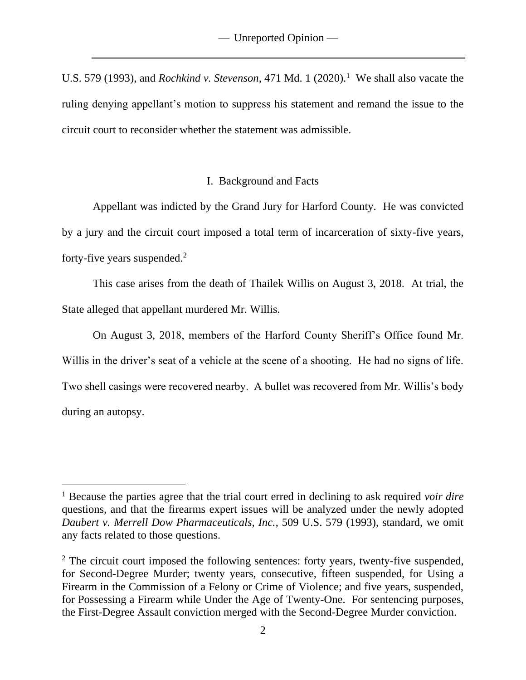U.S. 579 (1993), and *Rochkind v. Stevenson*, 471 Md. 1 (2020).<sup>1</sup> We shall also vacate the ruling denying appellant's motion to suppress his statement and remand the issue to the circuit court to reconsider whether the statement was admissible.

### I. Background and Facts

Appellant was indicted by the Grand Jury for Harford County. He was convicted by a jury and the circuit court imposed a total term of incarceration of sixty-five years, forty-five years suspended.<sup>2</sup>

This case arises from the death of Thailek Willis on August 3, 2018. At trial, the State alleged that appellant murdered Mr. Willis.

On August 3, 2018, members of the Harford County Sheriff's Office found Mr. Willis in the driver's seat of a vehicle at the scene of a shooting. He had no signs of life. Two shell casings were recovered nearby. A bullet was recovered from Mr. Willis's body during an autopsy.

<sup>1</sup> Because the parties agree that the trial court erred in declining to ask required *voir dire* questions, and that the firearms expert issues will be analyzed under the newly adopted *Daubert v. Merrell Dow Pharmaceuticals, Inc.*, 509 U.S. 579 (1993), standard, we omit any facts related to those questions.

 $2$  The circuit court imposed the following sentences: forty years, twenty-five suspended, for Second-Degree Murder; twenty years, consecutive, fifteen suspended, for Using a Firearm in the Commission of a Felony or Crime of Violence; and five years, suspended, for Possessing a Firearm while Under the Age of Twenty-One. For sentencing purposes, the First-Degree Assault conviction merged with the Second-Degree Murder conviction.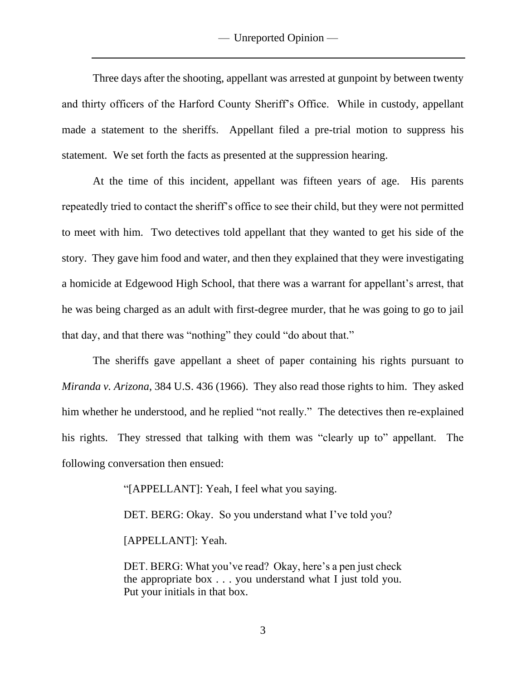Three days after the shooting, appellant was arrested at gunpoint by between twenty and thirty officers of the Harford County Sheriff's Office. While in custody, appellant made a statement to the sheriffs. Appellant filed a pre-trial motion to suppress his statement. We set forth the facts as presented at the suppression hearing.

At the time of this incident, appellant was fifteen years of age. His parents repeatedly tried to contact the sheriff's office to see their child, but they were not permitted to meet with him. Two detectives told appellant that they wanted to get his side of the story. They gave him food and water, and then they explained that they were investigating a homicide at Edgewood High School, that there was a warrant for appellant's arrest, that he was being charged as an adult with first-degree murder, that he was going to go to jail that day, and that there was "nothing" they could "do about that."

The sheriffs gave appellant a sheet of paper containing his rights pursuant to *Miranda v. Arizona*, 384 U.S. 436 (1966). They also read those rights to him. They asked him whether he understood, and he replied "not really." The detectives then re-explained his rights. They stressed that talking with them was "clearly up to" appellant. The following conversation then ensued:

"[APPELLANT]: Yeah, I feel what you saying.

DET. BERG: Okay. So you understand what I've told you?

[APPELLANT]: Yeah.

DET. BERG: What you've read? Okay, here's a pen just check the appropriate box . . . you understand what I just told you. Put your initials in that box.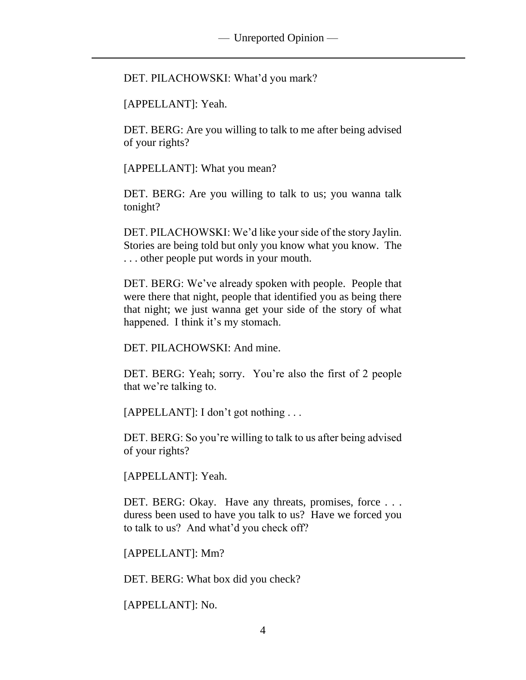DET. PILACHOWSKI: What'd you mark?

[APPELLANT]: Yeah.

DET. BERG: Are you willing to talk to me after being advised of your rights?

[APPELLANT]: What you mean?

DET. BERG: Are you willing to talk to us; you wanna talk tonight?

DET. PILACHOWSKI: We'd like your side of the story Jaylin. Stories are being told but only you know what you know. The . . . other people put words in your mouth.

DET. BERG: We've already spoken with people. People that were there that night, people that identified you as being there that night; we just wanna get your side of the story of what happened. I think it's my stomach.

DET. PILACHOWSKI: And mine.

DET. BERG: Yeah; sorry. You're also the first of 2 people that we're talking to.

[APPELLANT]: I don't got nothing . . .

DET. BERG: So you're willing to talk to us after being advised of your rights?

[APPELLANT]: Yeah.

DET. BERG: Okay. Have any threats, promises, force . . . duress been used to have you talk to us? Have we forced you to talk to us? And what'd you check off?

[APPELLANT]: Mm?

DET. BERG: What box did you check?

[APPELLANT]: No.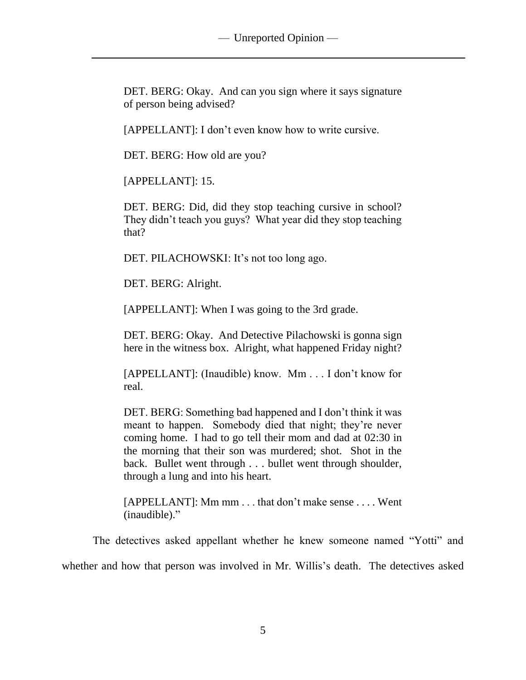DET. BERG: Okay. And can you sign where it says signature of person being advised?

[APPELLANT]: I don't even know how to write cursive.

DET. BERG: How old are you?

[APPELLANT]: 15.

DET. BERG: Did, did they stop teaching cursive in school? They didn't teach you guys? What year did they stop teaching that?

DET. PILACHOWSKI: It's not too long ago.

DET. BERG: Alright.

[APPELLANT]: When I was going to the 3rd grade.

DET. BERG: Okay. And Detective Pilachowski is gonna sign here in the witness box. Alright, what happened Friday night?

[APPELLANT]: (Inaudible) know. Mm . . . I don't know for real.

DET. BERG: Something bad happened and I don't think it was meant to happen. Somebody died that night; they're never coming home. I had to go tell their mom and dad at 02:30 in the morning that their son was murdered; shot. Shot in the back. Bullet went through . . . bullet went through shoulder, through a lung and into his heart.

[APPELLANT]: Mm mm . . . that don't make sense . . . . Went (inaudible)."

The detectives asked appellant whether he knew someone named "Yotti" and whether and how that person was involved in Mr. Willis's death. The detectives asked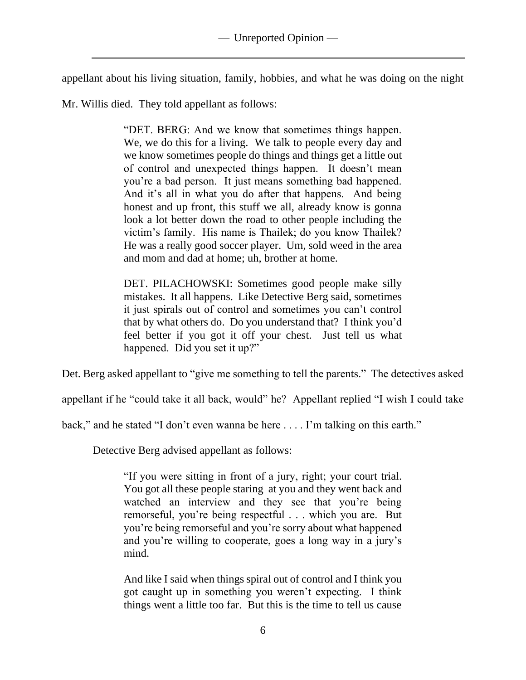appellant about his living situation, family, hobbies, and what he was doing on the night

Mr. Willis died. They told appellant as follows:

"DET. BERG: And we know that sometimes things happen. We, we do this for a living. We talk to people every day and we know sometimes people do things and things get a little out of control and unexpected things happen. It doesn't mean you're a bad person. It just means something bad happened. And it's all in what you do after that happens. And being honest and up front, this stuff we all, already know is gonna look a lot better down the road to other people including the victim's family. His name is Thailek; do you know Thailek? He was a really good soccer player. Um, sold weed in the area and mom and dad at home; uh, brother at home.

DET. PILACHOWSKI: Sometimes good people make silly mistakes. It all happens. Like Detective Berg said, sometimes it just spirals out of control and sometimes you can't control that by what others do. Do you understand that? I think you'd feel better if you got it off your chest. Just tell us what happened. Did you set it up?"

Det. Berg asked appellant to "give me something to tell the parents." The detectives asked

appellant if he "could take it all back, would" he? Appellant replied "I wish I could take

back," and he stated "I don't even wanna be here . . . . I'm talking on this earth."

Detective Berg advised appellant as follows:

"If you were sitting in front of a jury, right; your court trial. You got all these people staring at you and they went back and watched an interview and they see that you're being remorseful, you're being respectful . . . which you are. But you're being remorseful and you're sorry about what happened and you're willing to cooperate, goes a long way in a jury's mind.

And like I said when things spiral out of control and I think you got caught up in something you weren't expecting. I think things went a little too far. But this is the time to tell us cause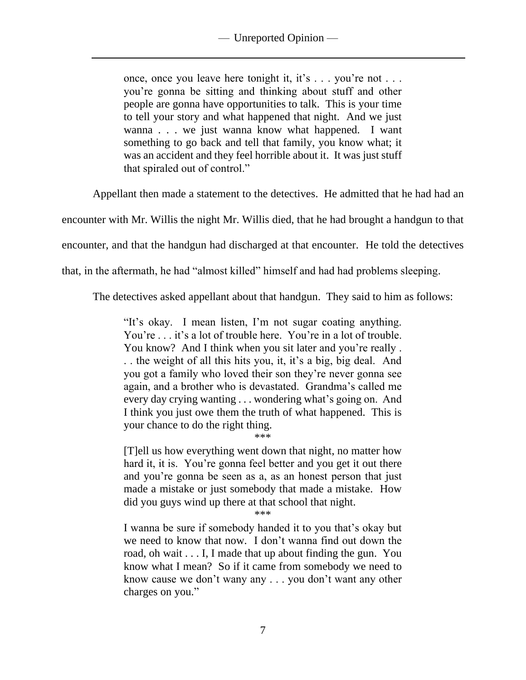once, once you leave here tonight it, it's . . . you're not . . . you're gonna be sitting and thinking about stuff and other people are gonna have opportunities to talk. This is your time to tell your story and what happened that night. And we just wanna . . . we just wanna know what happened. I want something to go back and tell that family, you know what; it was an accident and they feel horrible about it. It was just stuff that spiraled out of control."

Appellant then made a statement to the detectives. He admitted that he had had an

encounter with Mr. Willis the night Mr. Willis died, that he had brought a handgun to that

encounter, and that the handgun had discharged at that encounter. He told the detectives

that, in the aftermath, he had "almost killed" himself and had had problems sleeping.

The detectives asked appellant about that handgun. They said to him as follows:

"It's okay. I mean listen, I'm not sugar coating anything. You're . . . it's a lot of trouble here. You're in a lot of trouble. You know? And I think when you sit later and you're really. . . the weight of all this hits you, it, it's a big, big deal. And you got a family who loved their son they're never gonna see again, and a brother who is devastated. Grandma's called me every day crying wanting . . . wondering what's going on. And I think you just owe them the truth of what happened. This is your chance to do the right thing.

\*\*\*

[T]ell us how everything went down that night, no matter how hard it, it is. You're gonna feel better and you get it out there and you're gonna be seen as a, as an honest person that just made a mistake or just somebody that made a mistake. How did you guys wind up there at that school that night.

\*\*\*

I wanna be sure if somebody handed it to you that's okay but we need to know that now. I don't wanna find out down the road, oh wait . . . I, I made that up about finding the gun. You know what I mean? So if it came from somebody we need to know cause we don't wany any . . . you don't want any other charges on you."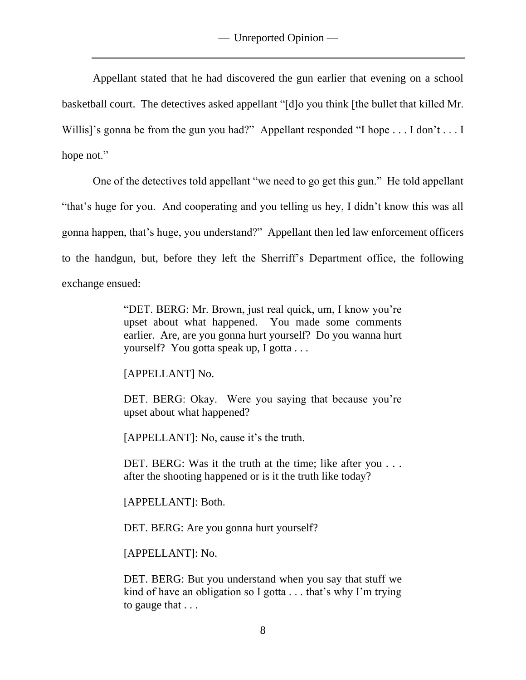Appellant stated that he had discovered the gun earlier that evening on a school basketball court. The detectives asked appellant "[d]o you think [the bullet that killed Mr. Willis]'s gonna be from the gun you had?" Appellant responded "I hope . . . I don't . . . I hope not."

One of the detectives told appellant "we need to go get this gun." He told appellant "that's huge for you. And cooperating and you telling us hey, I didn't know this was all gonna happen, that's huge, you understand?" Appellant then led law enforcement officers to the handgun, but, before they left the Sherriff's Department office, the following exchange ensued:

> "DET. BERG: Mr. Brown, just real quick, um, I know you're upset about what happened. You made some comments earlier. Are, are you gonna hurt yourself? Do you wanna hurt yourself? You gotta speak up, I gotta . . .

[APPELLANT] No.

DET. BERG: Okay. Were you saying that because you're upset about what happened?

[APPELLANT]: No, cause it's the truth.

DET. BERG: Was it the truth at the time; like after you . . . after the shooting happened or is it the truth like today?

[APPELLANT]: Both.

DET. BERG: Are you gonna hurt yourself?

[APPELLANT]: No.

DET. BERG: But you understand when you say that stuff we kind of have an obligation so I gotta . . . that's why I'm trying to gauge that . . .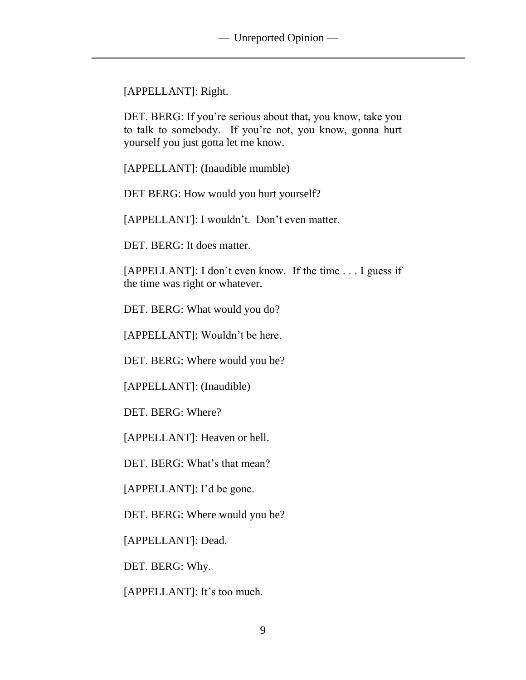[APPELLANT]: Right.

DET. BERG: If you're serious about that, you know, take you to talk to somebody. If you're not, you know, gonna hurt yourself you just gotta let me know.

[APPELLANT]: (Inaudible mumble)

DET BERG: How would you hurt yourself?

[APPELLANT]: I wouldn't. Don't even matter.

DET. BERG: It does matter.

[APPELLANT]: I don't even know. If the time . . . I guess if the time was right or whatever.

DET. BERG: What would you do?

[APPELLANT]: Wouldn't be here.

DET. BERG: Where would you be?

[APPELLANT]: (Inaudible)

DET. BERG: Where?

[APPELLANT]: Heaven or hell.

DET. BERG: What's that mean?

[APPELLANT]: I'd be gone.

DET. BERG: Where would you be?

[APPELLANT]: Dead.

DET. BERG: Why.

[APPELLANT]: It's too much.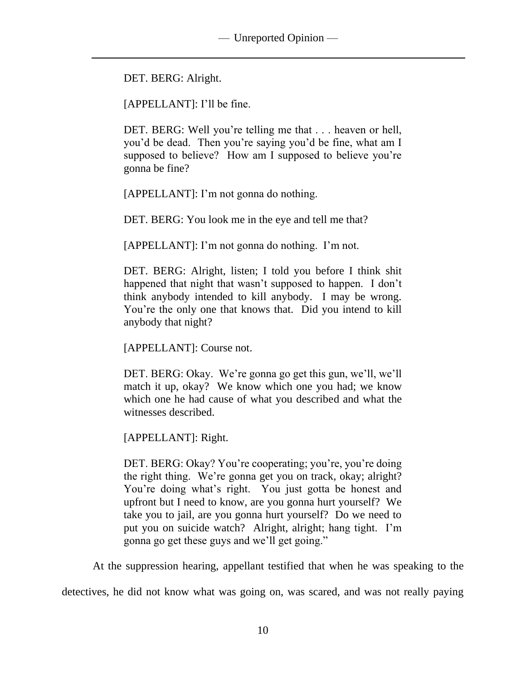DET. BERG: Alright.

[APPELLANT]: I'll be fine.

DET. BERG: Well you're telling me that . . . heaven or hell, you'd be dead. Then you're saying you'd be fine, what am I supposed to believe? How am I supposed to believe you're gonna be fine?

[APPELLANT]: I'm not gonna do nothing.

DET. BERG: You look me in the eye and tell me that?

[APPELLANT]: I'm not gonna do nothing. I'm not.

DET. BERG: Alright, listen; I told you before I think shit happened that night that wasn't supposed to happen. I don't think anybody intended to kill anybody. I may be wrong. You're the only one that knows that. Did you intend to kill anybody that night?

[APPELLANT]: Course not.

DET. BERG: Okay. We're gonna go get this gun, we'll, we'll match it up, okay? We know which one you had; we know which one he had cause of what you described and what the witnesses described.

[APPELLANT]: Right.

DET. BERG: Okay? You're cooperating; you're, you're doing the right thing. We're gonna get you on track, okay; alright? You're doing what's right. You just gotta be honest and upfront but I need to know, are you gonna hurt yourself? We take you to jail, are you gonna hurt yourself? Do we need to put you on suicide watch? Alright, alright; hang tight. I'm gonna go get these guys and we'll get going."

At the suppression hearing, appellant testified that when he was speaking to the

detectives, he did not know what was going on, was scared, and was not really paying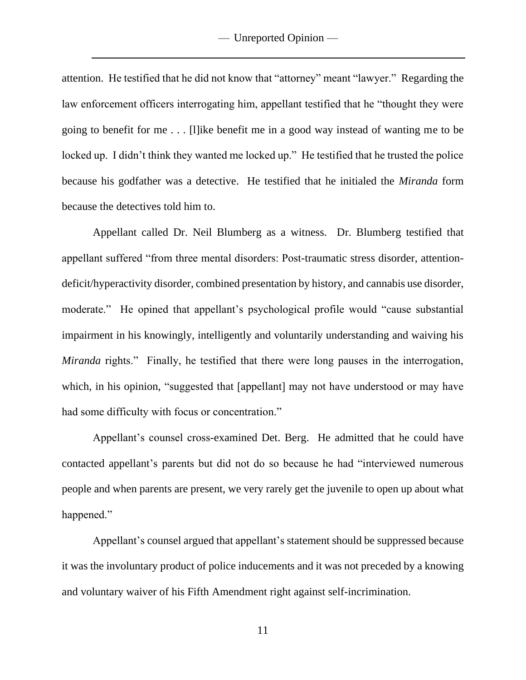attention. He testified that he did not know that "attorney" meant "lawyer." Regarding the law enforcement officers interrogating him, appellant testified that he "thought they were going to benefit for me . . . [l]ike benefit me in a good way instead of wanting me to be locked up. I didn't think they wanted me locked up." He testified that he trusted the police because his godfather was a detective. He testified that he initialed the *Miranda* form because the detectives told him to.

Appellant called Dr. Neil Blumberg as a witness. Dr. Blumberg testified that appellant suffered "from three mental disorders: Post-traumatic stress disorder, attentiondeficit/hyperactivity disorder, combined presentation by history, and cannabis use disorder, moderate." He opined that appellant's psychological profile would "cause substantial impairment in his knowingly, intelligently and voluntarily understanding and waiving his *Miranda* rights." Finally, he testified that there were long pauses in the interrogation, which, in his opinion, "suggested that [appellant] may not have understood or may have had some difficulty with focus or concentration."

Appellant's counsel cross-examined Det. Berg. He admitted that he could have contacted appellant's parents but did not do so because he had "interviewed numerous people and when parents are present, we very rarely get the juvenile to open up about what happened."

Appellant's counsel argued that appellant's statement should be suppressed because it was the involuntary product of police inducements and it was not preceded by a knowing and voluntary waiver of his Fifth Amendment right against self-incrimination.

11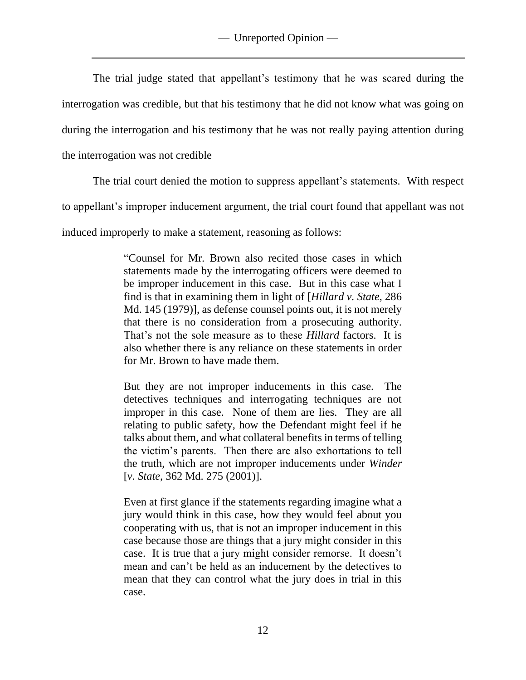The trial judge stated that appellant's testimony that he was scared during the interrogation was credible, but that his testimony that he did not know what was going on during the interrogation and his testimony that he was not really paying attention during the interrogation was not credible

The trial court denied the motion to suppress appellant's statements. With respect

to appellant's improper inducement argument, the trial court found that appellant was not

induced improperly to make a statement, reasoning as follows:

"Counsel for Mr. Brown also recited those cases in which statements made by the interrogating officers were deemed to be improper inducement in this case. But in this case what I find is that in examining them in light of [*Hillard v. State*, 286 Md. 145 (1979)], as defense counsel points out, it is not merely that there is no consideration from a prosecuting authority. That's not the sole measure as to these *Hillard* factors. It is also whether there is any reliance on these statements in order for Mr. Brown to have made them.

But they are not improper inducements in this case. The detectives techniques and interrogating techniques are not improper in this case. None of them are lies. They are all relating to public safety, how the Defendant might feel if he talks about them, and what collateral benefits in terms of telling the victim's parents. Then there are also exhortations to tell the truth, which are not improper inducements under *Winder* [*v. State*, 362 Md. 275 (2001)].

Even at first glance if the statements regarding imagine what a jury would think in this case, how they would feel about you cooperating with us, that is not an improper inducement in this case because those are things that a jury might consider in this case. It is true that a jury might consider remorse. It doesn't mean and can't be held as an inducement by the detectives to mean that they can control what the jury does in trial in this case.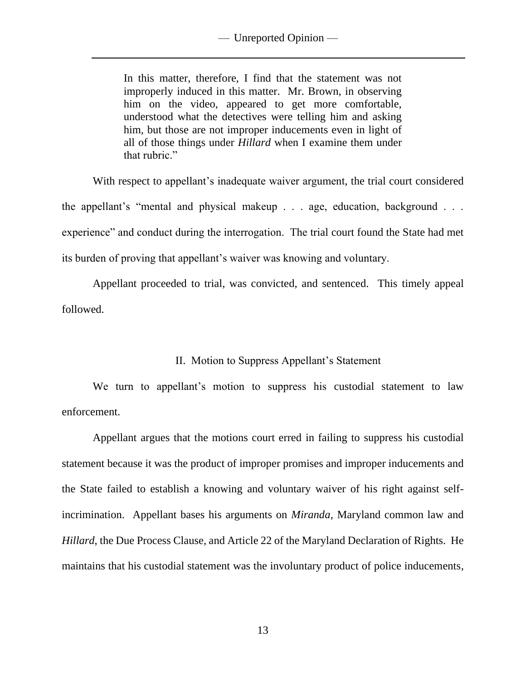In this matter, therefore, I find that the statement was not improperly induced in this matter. Mr. Brown, in observing him on the video, appeared to get more comfortable, understood what the detectives were telling him and asking him, but those are not improper inducements even in light of all of those things under *Hillard* when I examine them under that rubric."

With respect to appellant's inadequate waiver argument, the trial court considered the appellant's "mental and physical makeup . . . age, education, background . . . experience" and conduct during the interrogation. The trial court found the State had met its burden of proving that appellant's waiver was knowing and voluntary.

Appellant proceeded to trial, was convicted, and sentenced. This timely appeal followed.

# II. Motion to Suppress Appellant's Statement

We turn to appellant's motion to suppress his custodial statement to law enforcement.

Appellant argues that the motions court erred in failing to suppress his custodial statement because it was the product of improper promises and improper inducements and the State failed to establish a knowing and voluntary waiver of his right against selfincrimination. Appellant bases his arguments on *Miranda*, Maryland common law and *Hillard*, the Due Process Clause, and Article 22 of the Maryland Declaration of Rights. He maintains that his custodial statement was the involuntary product of police inducements,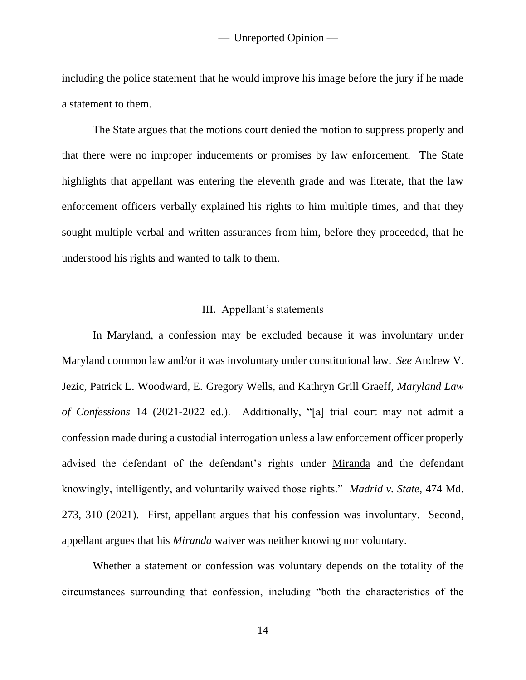including the police statement that he would improve his image before the jury if he made a statement to them.

The State argues that the motions court denied the motion to suppress properly and that there were no improper inducements or promises by law enforcement. The State highlights that appellant was entering the eleventh grade and was literate, that the law enforcement officers verbally explained his rights to him multiple times, and that they sought multiple verbal and written assurances from him, before they proceeded, that he understood his rights and wanted to talk to them.

## III. Appellant's statements

In Maryland, a confession may be excluded because it was involuntary under Maryland common law and/or it was involuntary under constitutional law. *See* Andrew V. Jezic, Patrick L. Woodward, E. Gregory Wells, and Kathryn Grill Graeff, *Maryland Law of Confessions* 14 (2021-2022 ed.). Additionally, "[a] trial court may not admit a confession made during a custodial interrogation unless a law enforcement officer properly advised the defendant of the defendant's rights under Miranda and the defendant knowingly, intelligently, and voluntarily waived those rights." *Madrid v. State*, 474 Md. 273, 310 (2021). First, appellant argues that his confession was involuntary. Second, appellant argues that his *Miranda* waiver was neither knowing nor voluntary.

Whether a statement or confession was voluntary depends on the totality of the circumstances surrounding that confession, including "both the characteristics of the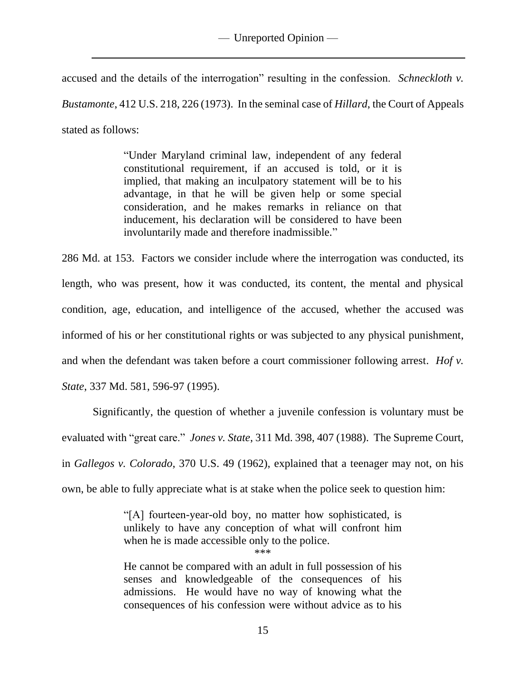# — Unreported Opinion —

accused and the details of the interrogation" resulting in the confession. *Schneckloth v. Bustamonte*, 412 U.S. 218, 226 (1973). In the seminal case of *Hillard*, the Court of Appeals stated as follows:

> "Under Maryland criminal law, independent of any federal constitutional requirement, if an accused is told, or it is implied, that making an inculpatory statement will be to his advantage, in that he will be given help or some special consideration, and he makes remarks in reliance on that inducement, his declaration will be considered to have been involuntarily made and therefore inadmissible."

286 Md. at 153. Factors we consider include where the interrogation was conducted, its length, who was present, how it was conducted, its content, the mental and physical condition, age, education, and intelligence of the accused, whether the accused was informed of his or her constitutional rights or was subjected to any physical punishment, and when the defendant was taken before a court commissioner following arrest. *Hof v. State*, 337 Md. 581, 596-97 (1995).

Significantly, the question of whether a juvenile confession is voluntary must be evaluated with "great care." *Jones v. State*, 311 Md. 398, 407 (1988). The Supreme Court, in *Gallegos v. Colorado*, 370 U.S. 49 (1962), explained that a teenager may not, on his own, be able to fully appreciate what is at stake when the police seek to question him:

> "[A] fourteen-year-old boy, no matter how sophisticated, is unlikely to have any conception of what will confront him when he is made accessible only to the police.

\*\*\*

He cannot be compared with an adult in full possession of his senses and knowledgeable of the consequences of his admissions. He would have no way of knowing what the consequences of his confession were without advice as to his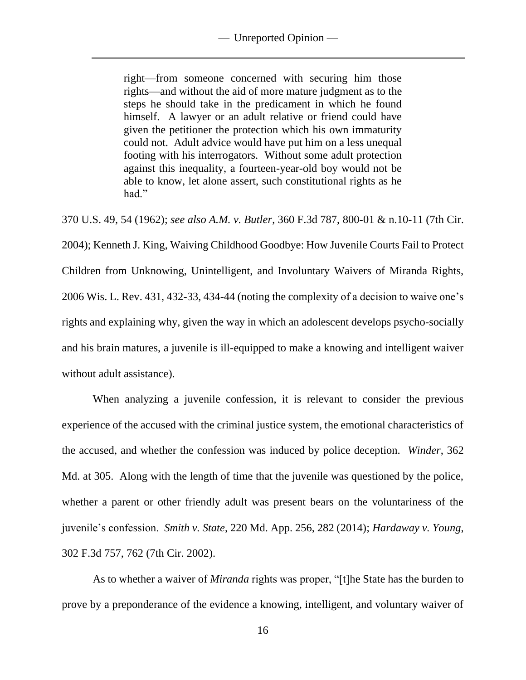right—from someone concerned with securing him those rights—and without the aid of more mature judgment as to the steps he should take in the predicament in which he found himself. A lawyer or an adult relative or friend could have given the petitioner the protection which his own immaturity could not. Adult advice would have put him on a less unequal footing with his interrogators. Without some adult protection against this inequality, a fourteen-year-old boy would not be able to know, let alone assert, such constitutional rights as he had."

370 U.S. 49, 54 (1962); *see also A.M. v. Butler*, 360 F.3d 787, 800-01 & n.10-11 (7th Cir. 2004); Kenneth J. King, Waiving Childhood Goodbye: How Juvenile Courts Fail to Protect Children from Unknowing, Unintelligent, and Involuntary Waivers of Miranda Rights, 2006 Wis. L. Rev. 431, 432-33, 434-44 (noting the complexity of a decision to waive one's rights and explaining why, given the way in which an adolescent develops psycho-socially and his brain matures, a juvenile is ill-equipped to make a knowing and intelligent waiver without adult assistance).

When analyzing a juvenile confession, it is relevant to consider the previous experience of the accused with the criminal justice system, the emotional characteristics of the accused, and whether the confession was induced by police deception. *Winder*, 362 Md. at 305. Along with the length of time that the juvenile was questioned by the police, whether a parent or other friendly adult was present bears on the voluntariness of the juvenile's confession. *Smith v. State*, 220 Md. App. 256, 282 (2014); *Hardaway v. Young*, 302 F.3d 757, 762 (7th Cir. 2002).

As to whether a waiver of *Miranda* rights was proper, "[t]he State has the burden to prove by a preponderance of the evidence a knowing, intelligent, and voluntary waiver of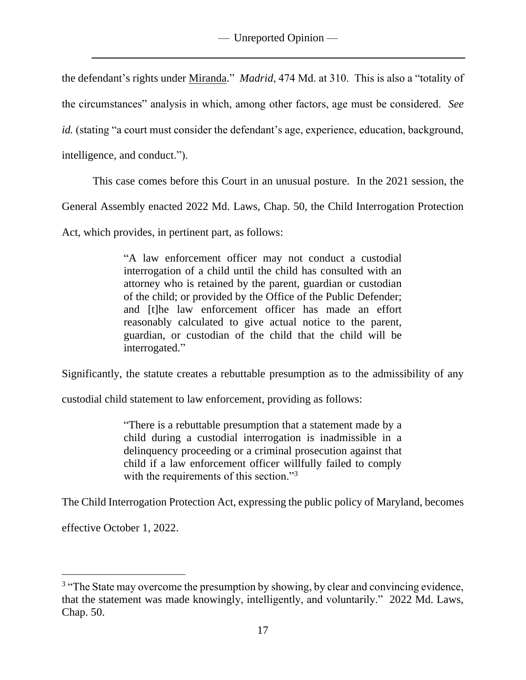the defendant's rights under Miranda." *Madrid*, 474 Md. at 310. This is also a "totality of the circumstances" analysis in which, among other factors, age must be considered. *See id.* (stating "a court must consider the defendant's age, experience, education, background, intelligence, and conduct.").

This case comes before this Court in an unusual posture. In the 2021 session, the

General Assembly enacted 2022 Md. Laws, Chap. 50, the Child Interrogation Protection

Act, which provides, in pertinent part, as follows:

"A law enforcement officer may not conduct a custodial interrogation of a child until the child has consulted with an attorney who is retained by the parent, guardian or custodian of the child; or provided by the Office of the Public Defender; and [t]he law enforcement officer has made an effort reasonably calculated to give actual notice to the parent, guardian, or custodian of the child that the child will be interrogated."

Significantly, the statute creates a rebuttable presumption as to the admissibility of any

custodial child statement to law enforcement, providing as follows:

"There is a rebuttable presumption that a statement made by a child during a custodial interrogation is inadmissible in a delinquency proceeding or a criminal prosecution against that child if a law enforcement officer willfully failed to comply with the requirements of this section."<sup>3</sup>

The Child Interrogation Protection Act, expressing the public policy of Maryland, becomes

effective October 1, 2022.

<sup>&</sup>lt;sup>3</sup> "The State may overcome the presumption by showing, by clear and convincing evidence, that the statement was made knowingly, intelligently, and voluntarily." 2022 Md. Laws, Chap. 50.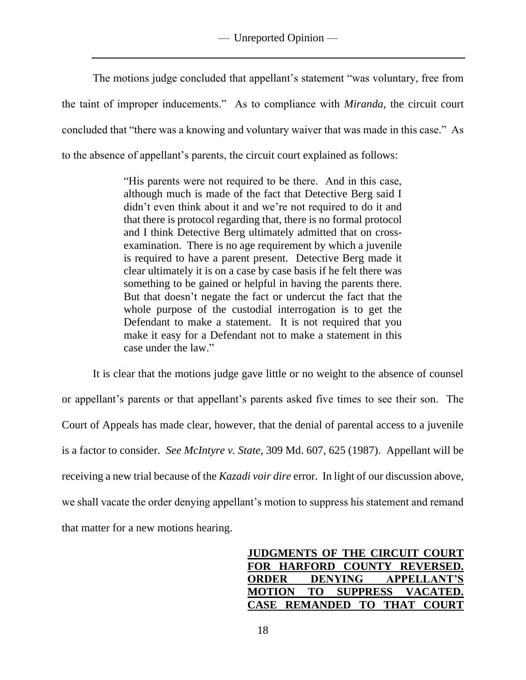The motions judge concluded that appellant's statement "was voluntary, free from the taint of improper inducements." As to compliance with *Miranda,* the circuit court concluded that "there was a knowing and voluntary waiver that was made in this case." As to the absence of appellant's parents, the circuit court explained as follows:

> "His parents were not required to be there. And in this case, although much is made of the fact that Detective Berg said I didn't even think about it and we're not required to do it and that there is protocol regarding that, there is no formal protocol and I think Detective Berg ultimately admitted that on crossexamination. There is no age requirement by which a juvenile is required to have a parent present. Detective Berg made it clear ultimately it is on a case by case basis if he felt there was something to be gained or helpful in having the parents there. But that doesn't negate the fact or undercut the fact that the whole purpose of the custodial interrogation is to get the Defendant to make a statement. It is not required that you make it easy for a Defendant not to make a statement in this case under the law."

It is clear that the motions judge gave little or no weight to the absence of counsel or appellant's parents or that appellant's parents asked five times to see their son. The Court of Appeals has made clear, however, that the denial of parental access to a juvenile is a factor to consider. *See McIntyre v. State*, 309 Md. 607, 625 (1987). Appellant will be receiving a new trial because of the *Kazadi voir dire* error. In light of our discussion above, we shall vacate the order denying appellant's motion to suppress his statement and remand that matter for a new motions hearing.

> **JUDGMENTS OF THE CIRCUIT COURT FOR HARFORD COUNTY REVERSED. ORDER DENYING APPELLANT'S MOTION TO SUPPRESS VACATED. CASE REMANDED TO THAT COURT**